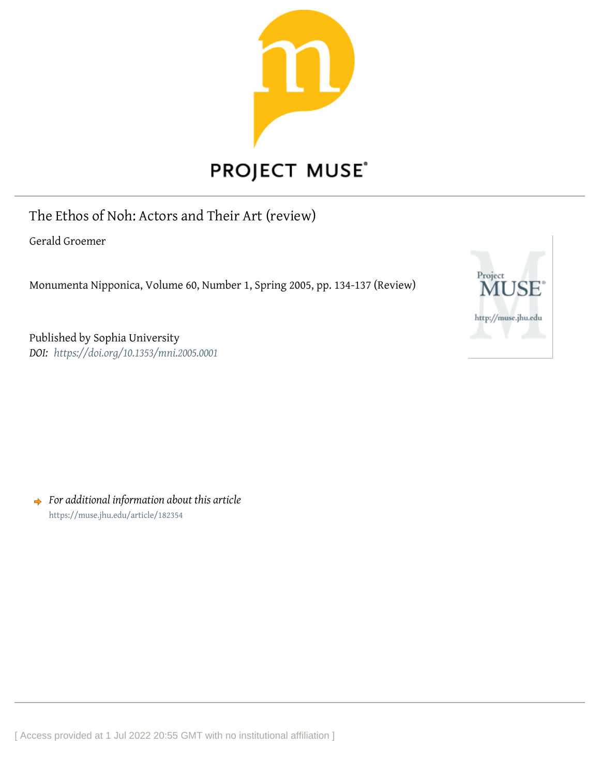

## **PROJECT MUSE®**

The Ethos of Noh: Actors and Their Art (review)

Gerald Groemer

Monumenta Nipponica, Volume 60, Number 1, Spring 2005, pp. 134-137 (Review)



Published by Sophia University *DOI: <https://doi.org/10.1353/mni.2005.0001>*

*For additional information about this article* <https://muse.jhu.edu/article/182354>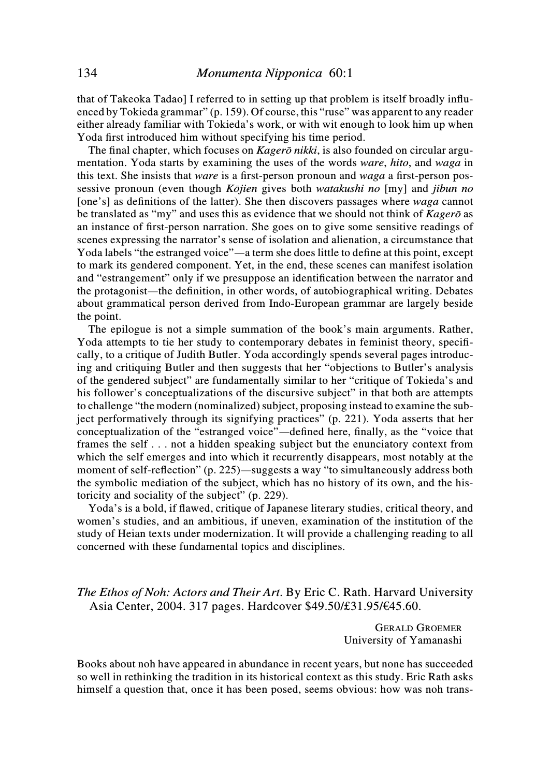that of Takeoka Tadao] I referred to in setting up that problem is itself broadly influenced by Tokieda grammar" (p. 159). Of course, this "ruse" was apparent to any reader either already familiar with Tokieda's work, or with wit enough to look him up when Yoda first introduced him without specifying his time period.

The final chapter, which focuses on *Kagerō nikki*, is also founded on circular argumentation. Yoda starts by examining the uses of the words ware, hito, and waga in this text. She insists that ware is a first-person pronoun and waga a first-person possessive pronoun (even though *Kōjien* gives both *watakushi no* [my] and *jibun no* [one's] as definitions of the latter). She then discovers passages where *waga* cannot be translated as "my" and uses this as evidence that we should not think of Kagero as an instance of first-person narration. She goes on to give some sensitive readings of scenes expressing the narrator's sense of isolation and alienation, a circumstance that Yoda labels "the estranged voice"—a term she does little to define at this point, except to mark its gendered component. Yet, in the end, these scenes can manifest isolation and "estrangement" only if we presuppose an identification between the narrator and the protagonist—the definition, in other words, of autobiographical writing. Debates about grammatical person derived from Indo-European grammar are largely beside the point.

The epilogue is not a simple summation of the book's main arguments. Rather, Yoda attempts to tie her study to contemporary debates in feminist theory, specifically, to a critique of Judith Butler. Yoda accordingly spends several pages introducing and critiquing Butler and then suggests that her "objections to Butler's analysis of the gendered subject" are fundamentally similar to her "critique of Tokieda's and his follower's conceptualizations of the discursive subject" in that both are attempts to challenge "the modern (nominalized) subject, proposing instead to examine the subject performatively through its signifying practices" (p. 221). Yoda asserts that her conceptualization of the "estranged voice"—defined here, finally, as the "voice that frames the self . . . not a hidden speaking subject but the enunciatory context from which the self emerges and into which it recurrently disappears, most notably at the moment of self-reflection" (p. 225)—suggests a way "to simultaneously address both the symbolic mediation of the subject, which has no history of its own, and the historicity and sociality of the subject" (p. 229).

Yoda's is a bold, if flawed, critique of Japanese literary studies, critical theory, and women's studies, and an ambitious, if uneven, examination of the institution of the study of Heian texts under modernization. It will provide a challenging reading to all concerned with these fundamental topics and disciplines.

The Ethos of Noh: Actors and Their Art. By Eric C. Rath. Harvard University Asia Center, 2004. 317 pages. Hardcover \$49.50/£31.95/€45.60.

> GERALD GROEMER University of Yamanashi

Books about noh have appeared in abundance in recent years, but none has succeeded so well in rethinking the tradition in its historical context as this study. Eric Rath asks himself a question that, once it has been posed, seems obvious: how was noh trans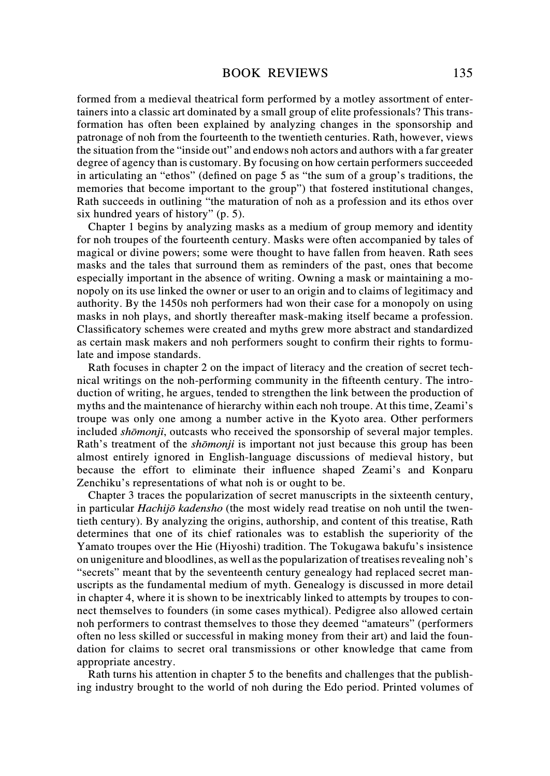formed from a medieval theatrical form performed by a motley assortment of entertainers into a classic art dominated by a small group of elite professionals? This transformation has often been explained by analyzing changes in the sponsorship and patronage of noh from the fourteenth to the twentieth centuries. Rath, however, views the situation from the "inside out" and endows noh actors and authors with a far greater degree of agency than is customary. By focusing on how certain performers succeeded in articulating an "ethos" (defined on page 5 as "the sum of a group's traditions, the memories that become important to the group") that fostered institutional changes, Rath succeeds in outlining "the maturation of noh as a profession and its ethos over six hundred years of history" (p. 5).

Chapter 1 begins by analyzing masks as a medium of group memory and identity for noh troupes of the fourteenth century. Masks were often accompanied by tales of magical or divine powers; some were thought to have fallen from heaven. Rath sees masks and the tales that surround them as reminders of the past, ones that become especially important in the absence of writing. Owning a mask or maintaining a monopoly on its use linked the owner or user to an origin and to claims of legitimacy and authority. By the 1450s noh performers had won their case for a monopoly on using masks in noh plays, and shortly thereafter mask-making itself became a profession. Classificatory schemes were created and myths grew more abstract and standardized as certain mask makers and noh performers sought to confirm their rights to formulate and impose standards.

Rath focuses in chapter 2 on the impact of literacy and the creation of secret technical writings on the noh-performing community in the fifteenth century. The introduction of writing, he argues, tended to strengthen the link between the production of myths and the maintenance of hierarchy within each noh troupe. At this time, Zeami's troupe was only one among a number active in the Kyoto area. Other performers included *shōmonji*, outcasts who received the sponsorship of several major temples. Rath's treatment of the *shōmonji* is important not just because this group has been almost entirely ignored in English-language discussions of medieval history, but because the effort to eliminate their influence shaped Zeami's and Konparu Zenchiku's representations of what noh is or ought to be.

Chapter 3 traces the popularization of secret manuscripts in the sixteenth century, in particular Hachijō kadensho (the most widely read treatise on noh until the twentieth century). By analyzing the origins, authorship, and content of this treatise, Rath determines that one of its chief rationales was to establish the superiority of the Yamato troupes over the Hie (Hiyoshi) tradition. The Tokugawa bakufu's insistence on unigeniture and bloodlines, as well as the popularization of treatises revealing noh's "secrets" meant that by the seventeenth century genealogy had replaced secret manuscripts as the fundamental medium of myth. Genealogy is discussed in more detail in chapter 4, where it is shown to be inextricably linked to attempts by troupes to connect themselves to founders (in some cases mythical). Pedigree also allowed certain noh performers to contrast themselves to those they deemed "amateurs" (performers often no less skilled or successful in making money from their art) and laid the foundation for claims to secret oral transmissions or other knowledge that came from appropriate ancestry.

Rath turns his attention in chapter 5 to the benefits and challenges that the publishing industry brought to the world of noh during the Edo period. Printed volumes of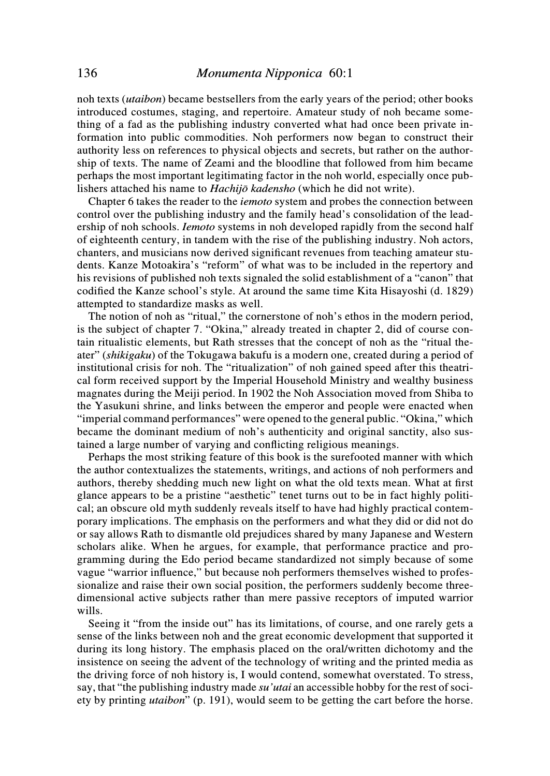noh texts (utaibon) became bestsellers from the early years of the period; other books introduced costumes, staging, and repertoire. Amateur study of noh became something of a fad as the publishing industry converted what had once been private information into public commodities. Noh performers now began to construct their authority less on references to physical objects and secrets, but rather on the authorship of texts. The name of Zeami and the bloodline that followed from him became perhaps the most important legitimating factor in the noh world, especially once publishers attached his name to Hachijō kadensho (which he did not write).

Chapter 6 takes the reader to the iemoto system and probes the connection between control over the publishing industry and the family head's consolidation of the leadership of noh schools. *Iemoto* systems in noh developed rapidly from the second half of eighteenth century, in tandem with the rise of the publishing industry. Noh actors, chanters, and musicians now derived significant revenues from teaching amateur students. Kanze Motoakira's "reform" of what was to be included in the repertory and his revisions of published noh texts signaled the solid establishment of a "canon" that codified the Kanze school's style. At around the same time Kita Hisayoshi (d. 1829) attempted to standardize masks as well.

The notion of noh as "ritual," the cornerstone of noh's ethos in the modern period, is the subject of chapter 7. "Okina," already treated in chapter 2, did of course contain ritualistic elements, but Rath stresses that the concept of noh as the "ritual theater" (shikigaku) of the Tokugawa bakufu is a modern one, created during a period of institutional crisis for noh. The "ritualization" of noh gained speed after this theatrical form received support by the Imperial Household Ministry and wealthy business magnates during the Meiji period. In 1902 the Noh Association moved from Shiba to the Yasukuni shrine, and links between the emperor and people were enacted when "imperial command performances" were opened to the general public. "Okina," which became the dominant medium of noh's authenticity and original sanctity, also sustained a large number of varying and conflicting religious meanings.

Perhaps the most striking feature of this book is the surefooted manner with which the author contextualizes the statements, writings, and actions of noh performers and authors, thereby shedding much new light on what the old texts mean. What at first glance appears to be a pristine "aesthetic" tenet turns out to be in fact highly political; an obscure old myth suddenly reveals itself to have had highly practical contemporary implications. The emphasis on the performers and what they did or did not do or say allows Rath to dismantle old prejudices shared by many Japanese and Western scholars alike. When he argues, for example, that performance practice and programming during the Edo period became standardized not simply because of some vague "warrior influence," but because noh performers themselves wished to professionalize and raise their own social position, the performers suddenly become threedimensional active subjects rather than mere passive receptors of imputed warrior wills.

Seeing it "from the inside out" has its limitations, of course, and one rarely gets a sense of the links between noh and the great economic development that supported it during its long history. The emphasis placed on the oral/written dichotomy and the insistence on seeing the advent of the technology of writing and the printed media as the driving force of noh history is, I would contend, somewhat overstated. To stress, say, that "the publishing industry made *su'utai* an accessible hobby for the rest of soci-ety by printing utaibon" (p. 191), would seem to be getting the cart before the horse.